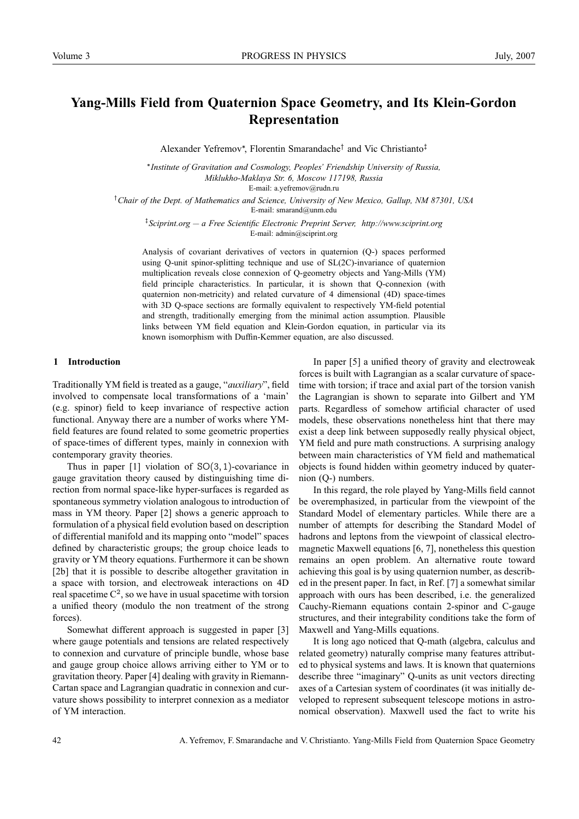# **Yang-Mills Field from Quaternion Space Geometry, and Its Klein-Gordon Representation**

Alexander Yefremov\*, Florentin Smarandache<sup>†</sup> and Vic Christianto<sup>‡</sup>

<sup>∗</sup>*Institute of Gravitation and Cosmology, Peoples' Friendship University of Russia, Miklukho-Maklaya Str. 6, Moscow 117198, Russia* E-mail: a.yefremov@rudn.ru

† *Chair of the Dept. of Mathematics and Science, University of New Mexico, Gallup, NM 87301, USA*

E-mail: smarand@unm.edu

‡ *Sciprint.org — a Free Scientific Electronic Preprint Server, http://www.sciprint.org* E-mail: admin@sciprint.org

Analysis of covariant derivatives of vectors in quaternion (Q-) spaces performed using Q-unit spinor-splitting technique and use of SL(2C)-invariance of quaternion multiplication reveals close connexion of Q-geometry objects and Yang-Mills (YM) field principle characteristics. In particular, it is shown that Q-connexion (with quaternion non-metricity) and related curvature of 4 dimensional (4D) space-times with 3D Q-space sections are formally equivalent to respectively YM-field potential and strength, traditionally emerging from the minimal action assumption. Plausible links between YM field equation and Klein-Gordon equation, in particular via its known isomorphism with Duffin-Kemmer equation, are also discussed.

## **1 Introduction**

Traditionally YM field is treated as a gauge, "*auxiliary*", field involved to compensate local transformations of a 'main' (e.g. spinor) field to keep invariance of respective action functional. Anyway there are a number of works where YMfield features are found related to some geometric properties of space-times of different types, mainly in connexion with contemporary gravity theories.

Thus in paper  $[1]$  violation of  $SO(3, 1)$ -covariance in gauge gravitation theory caused by distinguishing time direction from normal space-like hyper-surfaces is regarded as spontaneous symmetry violation analogous to introduction of mass in YM theory. Paper [2] shows a generic approach to formulation of a physical field evolution based on description of differential manifold and its mapping onto "model" spaces defined by characteristic groups; the group choice leads to gravity or YM theory equations. Furthermore it can be shown [2b] that it is possible to describe altogether gravitation in a space with torsion, and electroweak interactions on 4D real spacetime  $C<sup>2</sup>$ , so we have in usual spacetime with torsion a unified theory (modulo the non treatment of the strong forces).

Somewhat different approach is suggested in paper [3] where gauge potentials and tensions are related respectively to connexion and curvature of principle bundle, whose base and gauge group choice allows arriving either to YM or to gravitation theory. Paper [4] dealing with gravity in Riemann-Cartan space and Lagrangian quadratic in connexion and curvature shows possibility to interpret connexion as a mediator of YM interaction.

In paper [5] a unified theory of gravity and electroweak forces is built with Lagrangian as a scalar curvature of spacetime with torsion; if trace and axial part of the torsion vanish the Lagrangian is shown to separate into Gilbert and YM parts. Regardless of somehow artificial character of used models, these observations nonetheless hint that there may exist a deep link between supposedly really physical object, YM field and pure math constructions. A surprising analogy between main characteristics of YM field and mathematical objects is found hidden within geometry induced by quaternion (Q-) numbers.

In this regard, the role played by Yang-Mills field cannot be overemphasized, in particular from the viewpoint of the Standard Model of elementary particles. While there are a number of attempts for describing the Standard Model of hadrons and leptons from the viewpoint of classical electromagnetic Maxwell equations [6, 7], nonetheless this question remains an open problem. An alternative route toward achieving this goal is by using quaternion number, as described in the present paper. In fact, in Ref. [7] a somewhat similar approach with ours has been described, i.e. the generalized Cauchy-Riemann equations contain 2-spinor and C-gauge structures, and their integrability conditions take the form of Maxwell and Yang-Mills equations.

It is long ago noticed that Q-math (algebra, calculus and related geometry) naturally comprise many features attributed to physical systems and laws. It is known that quaternions describe three "imaginary" Q-units as unit vectors directing axes of a Cartesian system of coordinates (it was initially developed to represent subsequent telescope motions in astronomical observation). Maxwell used the fact to write his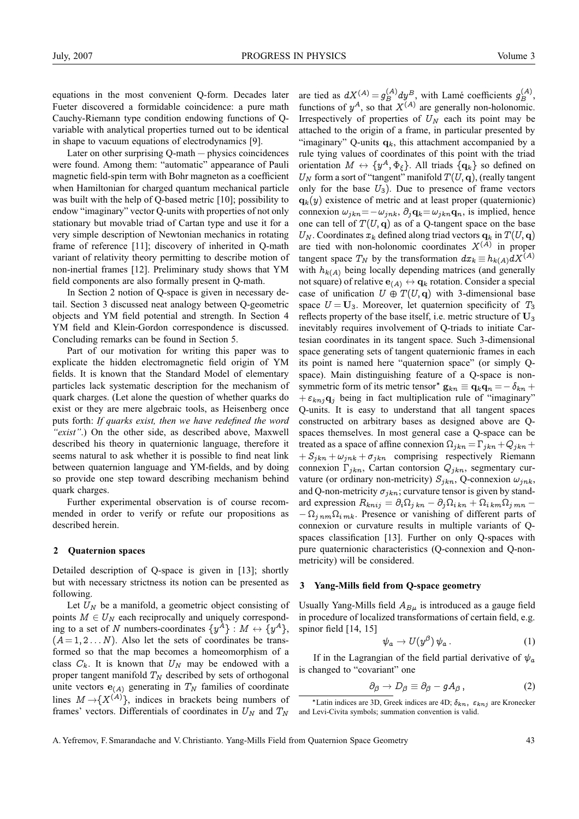equations in the most convenient Q-form. Decades later Fueter discovered a formidable coincidence: a pure math Cauchy-Riemann type condition endowing functions of Qvariable with analytical properties turned out to be identical in shape to vacuum equations of electrodynamics [9].

Later on other surprising Q-math — physics coincidences were found. Among them: "automatic" appearance of Pauli magnetic field-spin term with Bohr magneton as a coefficient when Hamiltonian for charged quantum mechanical particle was built with the help of Q-based metric [10]; possibility to endow "imaginary" vector Q-units with properties of not only stationary but movable triad of Cartan type and use it for a very simple description of Newtonian mechanics in rotating frame of reference [11]; discovery of inherited in Q-math variant of relativity theory permitting to describe motion of non-inertial frames [12]. Preliminary study shows that YM field components are also formally present in Q-math.

In Section 2 notion of Q-space is given in necessary detail. Section 3 discussed neat analogy between Q-geometric objects and YM field potential and strength. In Section 4 YM field and Klein-Gordon correspondence is discussed. Concluding remarks can be found in Section 5.

Part of our motivation for writing this paper was to explicate the hidden electromagnetic field origin of YM fields. It is known that the Standard Model of elementary particles lack systematic description for the mechanism of quark charges. (Let alone the question of whether quarks do exist or they are mere algebraic tools, as Heisenberg once puts forth: *If quarks exist, then we have redefined the word "exist"*.) On the other side, as described above, Maxwell described his theory in quaternionic language, therefore it seems natural to ask whether it is possible to find neat link between quaternion language and YM-fields, and by doing so provide one step toward describing mechanism behind quark charges.

Further experimental observation is of course recommended in order to verify or refute our propositions as described herein.

#### **2 Quaternion spaces**

Detailed description of Q-space is given in [13]; shortly but with necessary strictness its notion can be presented as following.

Let  $U_N$  be a manifold, a geometric object consisting of points  $M \in U_N$  each reciprocally and uniquely corresponding to a set of N numbers-coordinates  $\{y^A\} : M \leftrightarrow \{y^A\},\$  $(A=1,2...N)$ . Also let the sets of coordinates be transformed so that the map becomes a homeomorphism of a class  $C_k$ . It is known that  $U_N$  may be endowed with a proper tangent manifold  $T_N$  described by sets of orthogonal unite vectors  $e_{(A)}$  generating in  $T_N$  families of coordinate lines  $M \rightarrow \{X^{(A)}\}$ , indices in brackets being numbers of frames' vectors. Differentials of coordinates in  $U_N$  and  $T_N$ 

are tied as  $dX^{(A)} = g_B^{(A)} dy^B$ , with Lamé coefficients  $g_B^{(A)}$ , functions of  $y^A$ , so that  $X^{(A)}$  are generally non-holonomic. Irrespectively of properties of  $U_N$  each its point may be attached to the origin of a frame, in particular presented by "imaginary" Q-units  $q_k$ , this attachment accompanied by a rule tying values of coordinates of this point with the triad orientation  $M \leftrightarrow \{y^A, \Phi_\xi\}$ . All triads  $\{\mathbf{q}_k\}$  so defined on  $U_N$  form a sort of "tangent" manifold  $T(U, q)$ , (really tangent only for the base  $U_3$ ). Due to presence of frame vectors  $q_k(y)$  existence of metric and at least proper (quaternionic) connexion  $\omega_{jkn}=-\omega_{jnk}, \partial_j \mathbf{q}_k=\omega_{jkn}\mathbf{q}_n$ , is implied, hence one can tell of  $T(U, q)$  as of a Q-tangent space on the base  $U_N$ . Coordinates  $x_k$  defined along triad vectors  $\mathbf{q}_k$  in  $T(U, \mathbf{q})$ are tied with non-holonomic coordinates  $X^{(\overline{A})}$  in proper tangent space  $T_N$  by the transformation  $dx_k \equiv h_{k(A)} dX^{(A)}$ with  $h_{k(A)}$  being locally depending matrices (and generally not square) of relative  $e_{(A)} \leftrightarrow q_k$  rotation. Consider a special case of unification  $U \oplus T(U, q)$  with 3-dimensional base space  $U = U_3$ . Moreover, let quaternion specificity of  $T_3$ reflects property of the base itself, i.e. metric structure of  $\mathbf{U}_3$ inevitably requires involvement of Q-triads to initiate Cartesian coordinates in its tangent space. Such 3-dimensional space generating sets of tangent quaternionic frames in each its point is named here "quaternion space" (or simply Qspace). Main distinguishing feature of a Q-space is nonsymmetric form of its metric tensor<sup>∗</sup>  $\mathbf{g}_{kn} \equiv \mathbf{q}_k \mathbf{q}_n = -\delta_{kn} +$  $+ \varepsilon_{knj} \mathbf{q}_j$  being in fact multiplication rule of "imaginary" Q-units. It is easy to understand that all tangent spaces constructed on arbitrary bases as designed above are Qspaces themselves. In most general case a Q-space can be treated as a space of affine connexion  $\Omega_{jkn} = \Gamma_{jkn} + Q_{jkn} +$  $+ S_{jkn} + \omega_{jnk} + \sigma_{jkn}$  comprising respectively Riemann connexion  $\Gamma_{jkn}$ , Cartan contorsion  $Q_{jkn}$ , segmentary curvature (or ordinary non-metricity)  $S_{jkn}$ , Q-connexion  $\omega_{jnk}$ , and Q-non-metricity  $\sigma_{jkn}$ ; curvature tensor is given by standard expression  $R_{knij} = \partial_i \Omega_{jkn} - \partial_j \Omega_{ikn} + \Omega_{ikm} \Omega_{jmn}$  –  $-\Omega_{i\,nm}\Omega_{i\,mk}$ . Presence or vanishing of different parts of connexion or curvature results in multiple variants of Qspaces classification [13]. Further on only Q-spaces with pure quaternionic characteristics (Q-connexion and Q-nonmetricity) will be considered.

## **3 Yang-Mills field from Q-space geometry**

Usually Yang-Mills field  $A_{B\mu}$  is introduced as a gauge field in procedure of localized transformations of certain field, e.g. spinor field [14, 15]

$$
\psi_a \to U(y^\beta) \psi_a \,. \tag{1}
$$

If in the Lagrangian of the field partial derivative of  $\psi_a$ is changed to "covariant" one

$$
\partial_{\beta} \to D_{\beta} \equiv \partial_{\beta} - g A_{\beta} , \qquad (2)
$$

<sup>\*</sup>Latin indices are 3D, Greek indices are 4D;  $\delta_{kn}$ ,  $\varepsilon_{knj}$  are Kronecker and Levi-Civita symbols; summation convention is valid.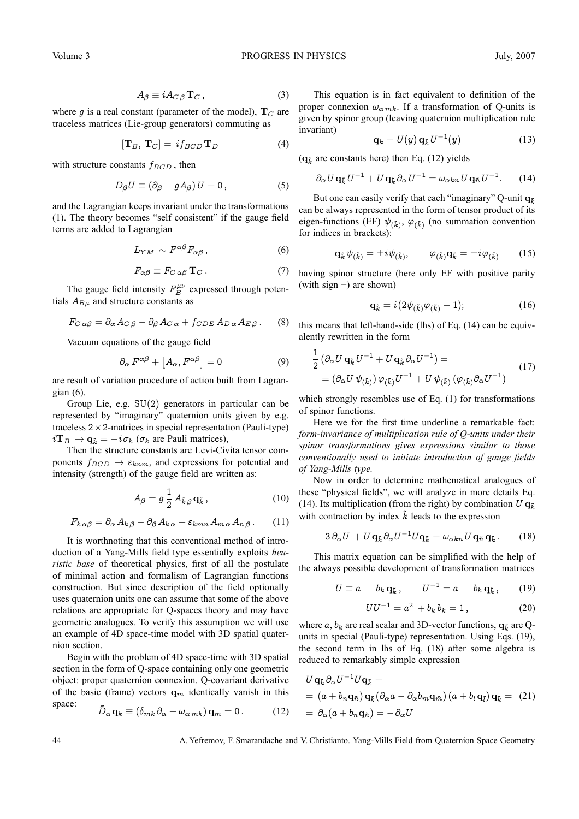$$
A_{\beta} \equiv i A_{C\beta} \mathbf{T}_C , \qquad (3)
$$

where g is a real constant (parameter of the model),  $T_C$  are traceless matrices (Lie-group generators) commuting as

$$
[\mathbf{T}_B, \mathbf{T}_C] = i f_{BCD} \mathbf{T}_D \tag{4}
$$

with structure constants  $f_{BCD}$ , then

$$
D_{\beta}U \equiv (\partial_{\beta} - gA_{\beta}) U = 0, \qquad (5)
$$

and the Lagrangian keeps invariant under the transformations (1). The theory becomes "self consistent" if the gauge field terms are added to Lagrangian

$$
L_{YM} \sim F^{\alpha\beta} F_{\alpha\beta} , \qquad (6)
$$

$$
F_{\alpha\beta} \equiv F_{C\,\alpha\beta} \,\mathbf{T}_C \,. \tag{7}
$$

The gauge field intensity  $F_B^{\mu\nu}$  expressed through potentials  $A_{B\mu}$  and structure constants as

$$
F_{C\alpha\beta} = \partial_{\alpha} A_{C\beta} - \partial_{\beta} A_{C\alpha} + f_{CDE} A_{D\alpha} A_{E\beta}.
$$
 (8)

Vacuum equations of the gauge field

$$
\partial_{\alpha} F^{\alpha\beta} + [A_{\alpha}, F^{\alpha\beta}] = 0 \tag{9}
$$

are result of variation procedure of action built from Lagrangian (6).

Group Lie, e.g. SU(2) generators in particular can be represented by "imaginary" quaternion units given by e.g. traceless  $2 \times 2$ -matrices in special representation (Pauli-type)  $i\mathbf{T}_B \rightarrow \mathbf{q}_{\tilde{k}} = -i\sigma_k$  ( $\sigma_k$  are Pauli matrices),

Then the structure constants are Levi-Civita tensor components  $f_{BCD} \rightarrow \varepsilon_{knm}$ , and expressions for potential and intensity (strength) of the gauge field are written as:

$$
A_{\beta} = g \frac{1}{2} A_{\tilde{k},\beta} \mathbf{q}_{\tilde{k}}, \qquad (10)
$$

$$
F_{k\alpha\beta} = \partial_{\alpha} A_{k\beta} - \partial_{\beta} A_{k\alpha} + \varepsilon_{kmn} A_{m\alpha} A_{n\beta}.
$$
 (11)

It is worthnoting that this conventional method of introduction of a Yang-Mills field type essentially exploits *heuristic base* of theoretical physics, first of all the postulate of minimal action and formalism of Lagrangian functions construction. But since description of the field optionally uses quaternion units one can assume that some of the above relations are appropriate for Q-spaces theory and may have geometric analogues. To verify this assumption we will use an example of 4D space-time model with 3D spatial quaternion section.

Begin with the problem of 4D space-time with 3D spatial section in the form of Q-space containing only one geometric object: proper quaternion connexion. Q-covariant derivative of the basic (frame) vectors  $\mathbf{q}_m$  identically vanish in this space:  $\tilde{D}_{\alpha} \, \mathbf{q}_k \equiv \left( \delta_{mk} \, \partial_{\alpha} + \omega_{\alpha \, mk} \right) \mathbf{q}_m = \mathbf{0} \,. \tag{12}$ 

$$
\tilde{D}_{\alpha}\mathbf{q}_k \equiv (\delta_{mk}\partial_{\alpha} + \omega_{\alpha mk})\mathbf{q}_m = 0. \qquad (12)
$$

This equation is in fact equivalent to definition of the proper connexion  $\omega_{\alpha m k}$ . If a transformation of Q-units is given by spinor group (leaving quaternion multiplication rule invariant)

$$
\mathbf{q}_k = U(y) \, \mathbf{q}_{\tilde{k}} \, U^{-1}(y) \tag{13}
$$

 $(q<sub>k</sub>$  are constants here) then Eq. (12) yields

$$
\partial_{\alpha} U \mathbf{q}_{\tilde{k}} U^{-1} + U \mathbf{q}_{\tilde{k}} \partial_{\alpha} U^{-1} = \omega_{\alpha k n} U \mathbf{q}_{\tilde{n}} U^{-1}.
$$
 (14)

But one can easily verify that each "imaginary" Q-unit  $q_{\tilde{k}}$ can be always represented in the form of tensor product of its eigen-functions (EF)  $\psi_{(\tilde{k})}, \varphi_{(\tilde{k})}$  (no summation convention for indices in brackets):

$$
\mathbf{q}_{\tilde{k}} \psi_{(\tilde{k})} = \pm i \psi_{(\tilde{k})}, \qquad \varphi_{(\tilde{k})} \mathbf{q}_{\tilde{k}} = \pm i \varphi_{(\tilde{k})} \qquad (15)
$$

having spinor structure (here only EF with positive parity (with sign  $+$ ) are shown)

$$
\mathbf{q}_{\tilde{k}} = i(2\psi_{(\tilde{k})}\varphi_{(\tilde{k})} - 1); \tag{16}
$$

this means that left-hand-side (lhs) of Eq. (14) can be equivalently rewritten in the form

$$
\frac{1}{2} \left( \partial_{\alpha} U \mathbf{q}_{\tilde{k}} U^{-1} + U \mathbf{q}_{\tilde{k}} \partial_{\alpha} U^{-1} \right) =
$$
\n
$$
= \left( \partial_{\alpha} U \psi_{(\tilde{k})} \right) \varphi_{(\tilde{k})} U^{-1} + U \psi_{(\tilde{k})} \left( \varphi_{(\tilde{k})} \partial_{\alpha} U^{-1} \right)
$$
\n
$$
(17)
$$

which strongly resembles use of Eq. (1) for transformations of spinor functions.

Here we for the first time underline a remarkable fact: *form-invariance of multiplication rule of Q-units under their spinor transformations gives expressions similar to those conventionally used to initiate introduction of gauge fields of Yang-Mills type.*

Now in order to determine mathematical analogues of these "physical fields", we will analyze in more details Eq. (14). Its multiplication (from the right) by combination  $U \mathbf{q}_{\tilde{k}}$ with contraction by index  $\tilde{k}$  leads to the expression

$$
-3\,\partial_{\alpha}U + U\,\mathbf{q}_{\tilde{k}}\,\partial_{\alpha}U^{-1}U\mathbf{q}_{\tilde{k}} = \omega_{\alpha kn}\,U\,\mathbf{q}_{\tilde{n}}\,\mathbf{q}_{\tilde{k}}\,. \tag{18}
$$

This matrix equation can be simplified with the help of the always possible development of transformation matrices

$$
U \equiv a + b_k \mathbf{q}_{\tilde{k}}, \qquad U^{-1} = a - b_k \mathbf{q}_{\tilde{k}}, \qquad (19)
$$

$$
UU^{-1} = a^2 + b_k b_k = 1,
$$
 (20)

where a,  $b_k$  are real scalar and 3D-vector functions,  $q_k$  are Qunits in special (Pauli-type) representation. Using Eqs. (19), the second term in lhs of Eq. (18) after some algebra is reduced to remarkably simple expression

$$
U \mathbf{q}_{\tilde{k}} \partial_{\alpha} U^{-1} U \mathbf{q}_{\tilde{k}} =
$$
  
=  $(a + b_n \mathbf{q}_{\tilde{n}}) \mathbf{q}_{\tilde{k}} (\partial_{\alpha} a - \partial_{\alpha} b_m \mathbf{q}_{\tilde{m}}) (a + b_l \mathbf{q}_{\tilde{l}}) \mathbf{q}_{\tilde{k}} = (21)$   
=  $\partial_{\alpha} (a + b_n \mathbf{q}_{\tilde{n}}) = -\partial_{\alpha} U$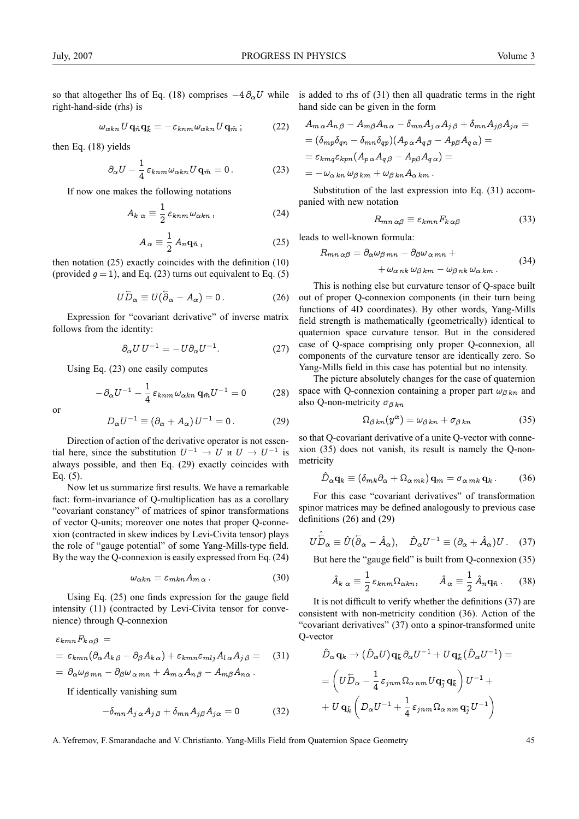so that altogether lhs of Eq. (18) comprises  $-4\partial_{\alpha}U$  while right-hand-side (rhs) is

$$
\omega_{\alpha k n} U \mathbf{q}_{\tilde{n}} \mathbf{q}_{\tilde{k}} = -\varepsilon_{k n m} \omega_{\alpha k n} U \mathbf{q}_{\tilde{m}} ; \qquad (22)
$$

then Eq. (18) yields

$$
\partial_{\alpha}U - \frac{1}{4}\,\varepsilon_{knm}\omega_{\alpha kn}U\mathbf{q}_{\tilde{m}} = 0\,. \tag{23}
$$

If now one makes the following notations

$$
A_{k\alpha} \equiv \frac{1}{2} \varepsilon_{knm} \omega_{\alpha kn} , \qquad (24)
$$

$$
A_{\alpha} \equiv \frac{1}{2} A_n \mathbf{q}_{\tilde{n}} , \qquad (25)
$$

then notation (25) exactly coincides with the definition (10) (provided  $q = 1$ ), and Eq. (23) turns out equivalent to Eq. (5)

$$
U\overleftarrow{D}_{\alpha} \equiv U(\overleftarrow{\partial}_{\alpha} - A_{\alpha}) = 0. \qquad (26)
$$

Expression for "covariant derivative" of inverse matrix follows from the identity:

$$
\partial_{\alpha} U U^{-1} = -U \partial_{\alpha} U^{-1}.
$$
 (27)

Using Eq. (23) one easily computes

$$
-\partial_{\alpha}U^{-1} - \frac{1}{4}\,\varepsilon_{knm}\,\omega_{\alpha kn}\,\mathbf{q}_{\tilde{m}}U^{-1} = 0\qquad(28)
$$

$$
\overline{a}
$$

$$
D_{\alpha}U^{-1}\equiv\left(\partial_{\alpha}+A_{\alpha}\right)U^{-1}=0.\tag{29}
$$

Direction of action of the derivative operator is not essential here, since the substitution  $U^{-1} \rightarrow U$   $\mu$   $U \rightarrow U^{-1}$  is always possible, and then Eq. (29) exactly coincides with Eq. (5).

Now let us summarize first results. We have a remarkable fact: form-invariance of Q-multiplication has as a corollary "covariant constancy" of matrices of spinor transformations of vector Q-units; moreover one notes that proper Q-connexion (contracted in skew indices by Levi-Civita tensor) plays the role of "gauge potential" of some Yang-Mills-type field. By the way the Q-connexion is easily expressed from Eq. (24)

$$
\omega_{\alpha k n} = \varepsilon_{m k n} A_{m \alpha} \,. \tag{30}
$$

Using Eq. (25) one finds expression for the gauge field intensity (11) (contracted by Levi-Civita tensor for convenience) through Q-connexion

$$
\varepsilon_{kmn} F_{k\alpha\beta} =
$$
\n
$$
= \varepsilon_{kmn} (\partial_{\alpha} A_{k\beta} - \partial_{\beta} A_{k\alpha}) + \varepsilon_{kmn} \varepsilon_{mlj} A_{l\alpha} A_{j\beta} = (31)
$$
\n
$$
= \partial_{\alpha} \omega_{\beta} m_{n} - \partial_{\beta} \omega_{\alpha} m_{n} + A_{m\alpha} A_{n\beta} - A_{m\beta} A_{n\alpha}.
$$

If identically vanishing sum

$$
-\delta_{mn}A_{j\alpha}A_{j\beta} + \delta_{mn}A_{j\beta}A_{j\alpha} = 0 \tag{32}
$$

is added to rhs of (31) then all quadratic terms in the right hand side can be given in the form

$$
A_{m\alpha}A_{n\beta}-A_{m\beta}A_{n\alpha}-\delta_{mn}A_{j\alpha}A_{j\beta}+\delta_{mn}A_{j\beta}A_{j\alpha}=\\=(\delta_{mp}\delta_{qn}-\delta_{mn}\delta_{qp})(A_{p\alpha}A_{q\beta}-A_{p\beta}A_{q\alpha})=\\=\varepsilon_{kmq}\varepsilon_{kpn}(A_{p\alpha}A_{q\beta}-A_{p\beta}A_{q\alpha})=\\=-\omega_{\alpha\,kn}\,\omega_{\beta\,km}+\omega_{\beta\,kn}A_{\alpha\,km}\,.
$$

Substitution of the last expression into Eq. (31) accompanied with new notation

$$
R_{mn\,\alpha\beta} \equiv \varepsilon_{kmn} F_{k\,\alpha\beta} \tag{33}
$$

leads to well-known formula:

$$
R_{mn\alpha\beta} = \partial_{\alpha}\omega_{\beta\,mn} - \partial_{\beta}\omega_{\alpha\,mn} ++ \omega_{\alpha\,nk}\,\omega_{\beta\,km} - \omega_{\beta\,nk}\,\omega_{\alpha\,km}.
$$
 (34)

This is nothing else but curvature tensor of Q-space built out of proper Q-connexion components (in their turn being functions of 4D coordinates). By other words, Yang-Mills field strength is mathematically (geometrically) identical to quaternion space curvature tensor. But in the considered case of Q-space comprising only proper Q-connexion, all components of the curvature tensor are identically zero. So Yang-Mills field in this case has potential but no intensity.

The picture absolutely changes for the case of quaternion space with Q-connexion containing a proper part  $\omega_{\beta k n}$  and also Q-non-metricity  $\sigma_{\beta k n}$ 

$$
\Omega_{\beta\,kn}(y^{\alpha}) = \omega_{\beta\,kn} + \sigma_{\beta\,kn} \tag{35}
$$

so that Q-covariant derivative of a unite Q-vector with connexion (35) does not vanish, its result is namely the Q-nonmetricity

$$
\hat{D}_{\alpha}\mathbf{q}_{k} \equiv (\delta_{mk}\partial_{\alpha} + \Omega_{\alpha mk})\mathbf{q}_{m} = \sigma_{\alpha mk}\mathbf{q}_{k}. \qquad (36)
$$

For this case "covariant derivatives" of transformation spinor matrices may be defined analogously to previous case definitions (26) and (29)

$$
U\overset{\leftarrow}{D}_{\alpha} \equiv \hat{U}(\overset{\leftarrow}{\partial}_{\alpha} - \hat{A}_{\alpha}), \quad \hat{D}_{\alpha}U^{-1} \equiv (\partial_{\alpha} + \hat{A}_{\alpha})U. \quad (37)
$$

But here the "gauge field" is built from Q-connexion (35)

$$
\hat{A}_{k \alpha} \equiv \frac{1}{2} \varepsilon_{knm} \Omega_{\alpha kn}, \qquad \hat{A}_{\alpha} \equiv \frac{1}{2} \hat{A}_n \mathbf{q}_{\tilde{n}}. \qquad (38)
$$

It is not difficult to verify whether the definitions (37) are consistent with non-metricity condition (36). Action of the "covariant derivatives" (37) onto a spinor-transformed unite Q-vector

$$
\hat{D}_{\alpha}\mathbf{q}_{k} \rightarrow (\hat{D}_{\alpha}U)\mathbf{q}_{\tilde{k}}\partial_{\alpha}U^{-1} + U\mathbf{q}_{\tilde{k}}(\hat{D}_{\alpha}U^{-1}) =
$$
\n
$$
= \left(U\overleftarrow{D}_{\alpha} - \frac{1}{4}\varepsilon_{jnm}\Omega_{\alpha\,nm}U\mathbf{q}_{\tilde{j}}\mathbf{q}_{\tilde{k}}\right)U^{-1} +
$$
\n
$$
+ U\mathbf{q}_{\tilde{k}}\left(D_{\alpha}U^{-1} + \frac{1}{4}\varepsilon_{jnm}\Omega_{\alpha\,nm}\mathbf{q}_{\tilde{j}}U^{-1}\right)
$$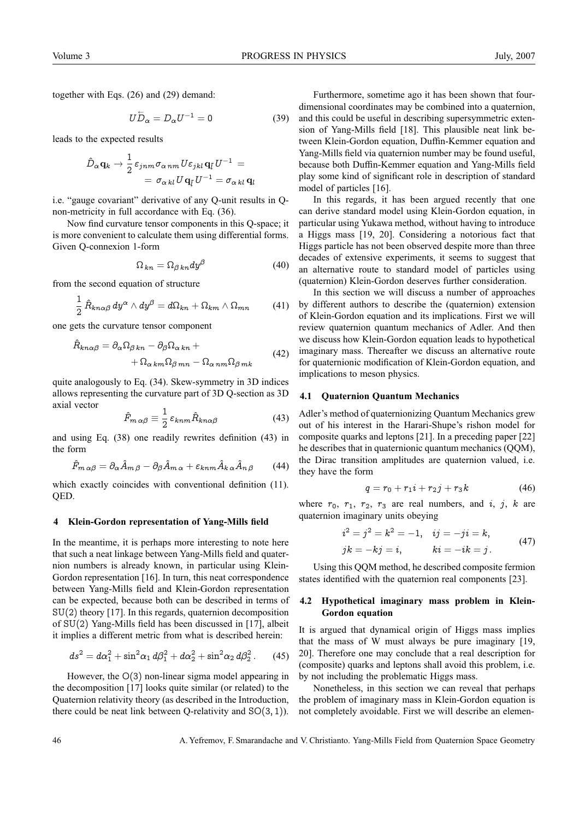together with Eqs. (26) and (29) demand:

$$
U\overleftarrow{D}_{\alpha} = D_{\alpha}U^{-1} = 0 \tag{39}
$$

leads to the expected results

$$
\hat{D}_{\alpha}\mathbf{q}_{k} \rightarrow \frac{1}{2} \varepsilon_{jnm} \sigma_{\alpha\,nm} U \varepsilon_{jkl} \mathbf{q}_{\tilde{l}} U^{-1} =
$$
  
= 
$$
\sigma_{\alpha\,kl} U \mathbf{q}_{\tilde{l}} U^{-1} = \sigma_{\alpha\,kl} \mathbf{q}_{l}
$$

i.e. "gauge covariant" derivative of any Q-unit results in Qnon-metricity in full accordance with Eq. (36).

Now find curvature tensor components in this Q-space; it is more convenient to calculate them using differential forms. Given Q-connexion 1-form

$$
\Omega_{kn} = \Omega_{\beta\,kn} dy^{\beta} \tag{40}
$$

from the second equation of structure

$$
\frac{1}{2}\,\hat{R}_{kn\alpha\beta}\,dy^{\alpha}\wedge dy^{\beta} = d\Omega_{kn} + \Omega_{km}\wedge\Omega_{mn} \qquad (41)
$$

one gets the curvature tensor component

$$
\hat{R}_{kn\alpha\beta} = \partial_{\alpha}\Omega_{\beta\,kn} - \partial_{\beta}\Omega_{\alpha\,kn} + \n+ \Omega_{\alpha\,km}\Omega_{\beta\,mn} - \Omega_{\alpha\,nm}\Omega_{\beta\,mk}
$$
\n(42)

quite analogously to Eq. (34). Skew-symmetry in 3D indices allows representing the curvature part of 3D Q-section as 3D axial vector

$$
\hat{F}_{m\,\alpha\beta} \equiv \frac{1}{2} \,\varepsilon_{knm} \hat{R}_{kn\alpha\beta} \tag{43}
$$

and using Eq. (38) one readily rewrites definition (43) in the form

$$
\hat{F}_{m\,\alpha\beta} = \partial_{\alpha}\hat{A}_{m\,\beta} - \partial_{\beta}\hat{A}_{m\,\alpha} + \varepsilon_{knm}\hat{A}_{k\,\alpha}\hat{A}_{n\,\beta} \tag{44}
$$

which exactly coincides with conventional definition  $(11)$ . QED.

#### **4 Klein-Gordon representation of Yang-Mills field**

In the meantime, it is perhaps more interesting to note here that such a neat linkage between Yang-Mills field and quaternion numbers is already known, in particular using Klein-Gordon representation [16]. In turn, this neat correspondence between Yang-Mills field and Klein-Gordon representation can be expected, because both can be described in terms of SU(2) theory [17]. In this regards, quaternion decomposition of SU(2) Yang-Mills field has been discussed in [17], albeit it implies a different metric from what is described herein:

$$
ds^{2} = d\alpha_{1}^{2} + \sin^{2}\alpha_{1} d\beta_{1}^{2} + d\alpha_{2}^{2} + \sin^{2}\alpha_{2} d\beta_{2}^{2}. \qquad (45)
$$

However, the O(3) non-linear sigma model appearing in the decomposition [17] looks quite similar (or related) to the Quaternion relativity theory (as described in the Introduction, there could be neat link between Q-relativity and  $SO(3, 1)$ ).

Furthermore, sometime ago it has been shown that fourdimensional coordinates may be combined into a quaternion, and this could be useful in describing supersymmetric extension of Yang-Mills field [18]. This plausible neat link between Klein-Gordon equation, Duffin-Kemmer equation and Yang-Mills field via quaternion number may be found useful, because both Duffin-Kemmer equation and Yang-Mills field play some kind of significant role in description of standard model of particles [16].

In this regards, it has been argued recently that one can derive standard model using Klein-Gordon equation, in particular using Yukawa method, without having to introduce a Higgs mass [19, 20]. Considering a notorious fact that Higgs particle has not been observed despite more than three decades of extensive experiments, it seems to suggest that an alternative route to standard model of particles using (quaternion) Klein-Gordon deserves further consideration.

In this section we will discuss a number of approaches by different authors to describe the (quaternion) extension of Klein-Gordon equation and its implications. First we will review quaternion quantum mechanics of Adler. And then we discuss how Klein-Gordon equation leads to hypothetical imaginary mass. Thereafter we discuss an alternative route for quaternionic modification of Klein-Gordon equation, and implications to meson physics.

#### **4.1 Quaternion Quantum Mechanics**

Adler's method of quaternionizing Quantum Mechanics grew out of his interest in the Harari-Shupe's rishon model for composite quarks and leptons [21]. In a preceding paper [22] he describes that in quaternionic quantum mechanics (QQM), the Dirac transition amplitudes are quaternion valued, i.e. they have the form

$$
q = r_0 + r_1 i + r_2 j + r_3 k \tag{46}
$$

where  $r_0$ ,  $r_1$ ,  $r_2$ ,  $r_3$  are real numbers, and i, j, k are quaternion imaginary units obeying

$$
i2 = j2 = k2 = -1, \tij = -ji = k,\njk = -kj = i, \tki = -ik = j.
$$
\t(47)

Using this QQM method, he described composite fermion states identified with the quaternion real components [23].

## **4.2 Hypothetical imaginary mass problem in Klein-Gordon equation**

It is argued that dynamical origin of Higgs mass implies that the mass of W must always be pure imaginary [19, 20]. Therefore one may conclude that a real description for (composite) quarks and leptons shall avoid this problem, i.e. by not including the problematic Higgs mass.

Nonetheless, in this section we can reveal that perhaps the problem of imaginary mass in Klein-Gordon equation is not completely avoidable. First we will describe an elemen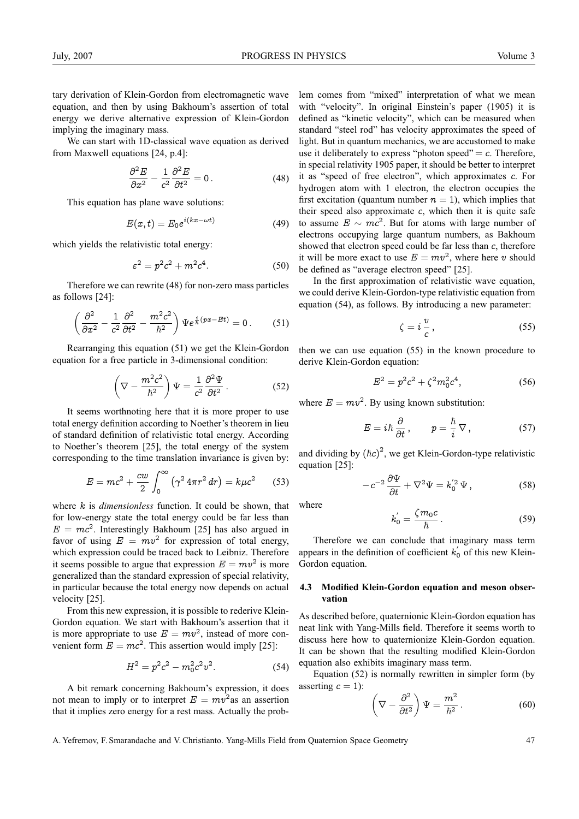tary derivation of Klein-Gordon from electromagnetic wave equation, and then by using Bakhoum's assertion of total energy we derive alternative expression of Klein-Gordon implying the imaginary mass.

We can start with 1D-classical wave equation as derived from Maxwell equations [24, p.4]:

$$
\frac{\partial^2 E}{\partial x^2} - \frac{1}{c^2} \frac{\partial^2 E}{\partial t^2} = 0.
$$
 (48)

This equation has plane wave solutions:

$$
E(x,t) = E_0 e^{i(kx - \omega t)}
$$
\n(49)

which yields the relativistic total energy:

$$
\varepsilon^2 = p^2 c^2 + m^2 c^4. \tag{50}
$$

Therefore we can rewrite (48) for non-zero mass particles as follows [24]:

$$
\left(\frac{\partial^2}{\partial x^2} - \frac{1}{c^2} \frac{\partial^2}{\partial t^2} - \frac{m^2 c^2}{\hbar^2}\right) \Psi e^{\frac{i}{\hbar}(px - Et)} = 0.
$$
 (51)

Rearranging this equation (51) we get the Klein-Gordon equation for a free particle in 3-dimensional condition:

$$
\left(\nabla - \frac{m^2 c^2}{\hbar^2}\right) \Psi = \frac{1}{c^2} \frac{\partial^2 \Psi}{\partial t^2}.
$$
 (52)

It seems worthnoting here that it is more proper to use total energy definition according to Noether's theorem in lieu of standard definition of relativistic total energy. According to Noether's theorem [25], the total energy of the system corresponding to the time translation invariance is given by:

$$
E = mc2 + \frac{cw}{2} \int_0^{\infty} (\gamma^2 4\pi r^2 dr) = k\mu c^2
$$
 (53)

where k is *dimensionless* function. It could be shown, that for low-energy state the total energy could be far less than  $E = mc^2$ . Interestingly Bakhoum [25] has also argued in favor of using  $E = mv^2$  for expression of total energy, which expression could be traced back to Leibniz. Therefore it seems possible to argue that expression  $E = mv^2$  is more generalized than the standard expression of special relativity, in particular because the total energy now depends on actual velocity [25].

From this new expression, it is possible to rederive Klein-Gordon equation. We start with Bakhoum's assertion that it is more appropriate to use  $E = mv^2$ , instead of more convenient form  $E = mc^2$ . This assertion would imply [25]:

$$
H^2 = p^2 c^2 - m_0^2 c^2 v^2. \tag{54}
$$

A bit remark concerning Bakhoum's expression, it does not mean to imply or to interpret  $E = mv^2$  as an assertion that it implies zero energy for a rest mass. Actually the prob-

lem comes from "mixed" interpretation of what we mean with "velocity". In original Einstein's paper (1905) it is defined as "kinetic velocity", which can be measured when standard "steel rod" has velocity approximates the speed of light. But in quantum mechanics, we are accustomed to make use it deliberately to express "photon speed" =  $c$ . Therefore, in special relativity 1905 paper, it should be better to interpret it as "speed of free electron", which approximates c. For hydrogen atom with 1 electron, the electron occupies the first excitation (quantum number  $n = 1$ ), which implies that their speed also approximate c, which then it is quite safe to assume  $E \sim mc^2$ . But for atoms with large number of electrons occupying large quantum numbers, as Bakhoum showed that electron speed could be far less than c, therefore it will be more exact to use  $E = mv^2$ , where here v should be defined as "average electron speed" [25].

In the first approximation of relativistic wave equation, we could derive Klein-Gordon-type relativistic equation from equation (54), as follows. By introducing a new parameter:

$$
\zeta = i \frac{v}{c},\tag{55}
$$

then we can use equation (55) in the known procedure to derive Klein-Gordon equation:

$$
E^2 = p^2 c^2 + \zeta^2 m_0^2 c^4, \qquad (56)
$$

where  $E = mv^2$ . By using known substitution:

$$
E = i\hbar \frac{\partial}{\partial t}, \qquad p = \frac{\hbar}{i} \nabla , \qquad (57)
$$

and dividing by  $(\hbar c)^2$ , we get Klein-Gordon-type relativistic equation [25]:

$$
-c^{-2}\frac{\partial\Psi}{\partial t} + \nabla^2\Psi = k_0^{'2}\Psi,
$$
 (58)

where

$$
k_0' = \frac{\zeta m_0 c}{\hbar} \,. \tag{59}
$$

Therefore we can conclude that imaginary mass term appears in the definition of coefficient  $k'_0$  of this new Klein-Gordon equation.

## **4.3 Modified Klein-Gordon equation and meson observation**

As described before, quaternionic Klein-Gordon equation has neat link with Yang-Mills field. Therefore it seems worth to discuss here how to quaternionize Klein-Gordon equation. It can be shown that the resulting modified Klein-Gordon equation also exhibits imaginary mass term.

Equation (52) is normally rewritten in simpler form (by asserting  $c = 1$ :

$$
\left(\nabla - \frac{\partial^2}{\partial t^2}\right)\Psi = \frac{m^2}{\hbar^2}.
$$
\n(60)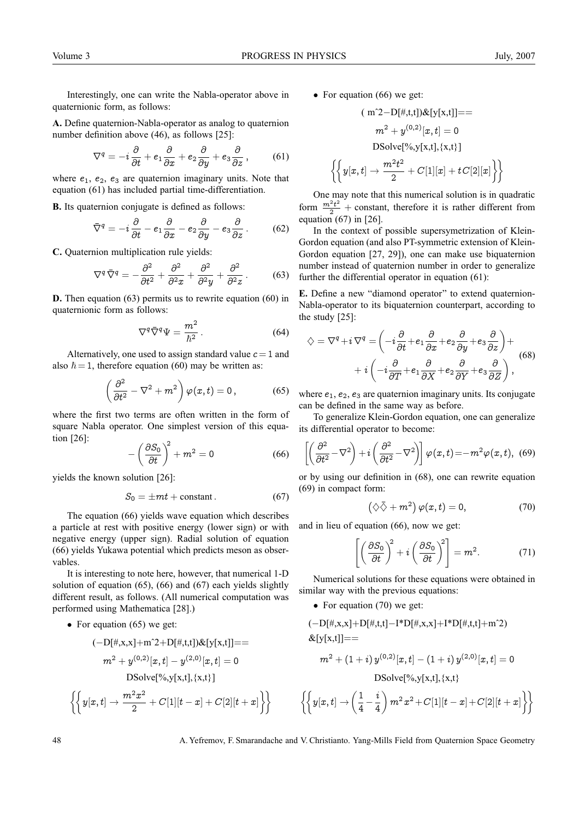Interestingly, one can write the Nabla-operator above in quaternionic form, as follows:

**A.** Define quaternion-Nabla-operator as analog to quaternion number definition above (46), as follows [25]:

$$
\nabla^q = -i\frac{\partial}{\partial t} + e_1\frac{\partial}{\partial x} + e_2\frac{\partial}{\partial y} + e_3\frac{\partial}{\partial z},\qquad(61)
$$

where  $e_1$ ,  $e_2$ ,  $e_3$  are quaternion imaginary units. Note that equation (61) has included partial time-differentiation.

**B.** Its quaternion conjugate is defined as follows:

$$
\bar{\nabla}^q = -i\frac{\partial}{\partial t} - e_1\frac{\partial}{\partial x} - e_2\frac{\partial}{\partial y} - e_3\frac{\partial}{\partial z}.
$$
 (62)

**C.** Quaternion multiplication rule yields:

$$
\nabla^q \,\bar{\nabla}^q = -\frac{\partial^2}{\partial t^2} + \frac{\partial^2}{\partial^2 x} + \frac{\partial^2}{\partial^2 y} + \frac{\partial^2}{\partial^2 z} \,. \tag{63}
$$

**D.** Then equation (63) permits us to rewrite equation (60) in quaternionic form as follows:

$$
\nabla^q \bar{\nabla}^q \Psi = \frac{m^2}{\hbar^2} \,. \tag{64}
$$

Alternatively, one used to assign standard value  $c = 1$  and also  $\hbar = 1$ , therefore equation (60) may be written as:

$$
\left(\frac{\partial^2}{\partial t^2} - \nabla^2 + m^2\right)\varphi(x,t) = 0, \qquad (65)
$$

where the first two terms are often written in the form of square Nabla operator. One simplest version of this equation [26]:

$$
-\left(\frac{\partial S_0}{\partial t}\right)^2 + m^2 = 0\tag{66}
$$

yields the known solution [26]:

$$
S_0 = \pm mt + \text{constant}.
$$
 (67)

The equation (66) yields wave equation which describes a particle at rest with positive energy (lower sign) or with negative energy (upper sign). Radial solution of equation (66) yields Yukawa potential which predicts meson as observables.

It is interesting to note here, however, that numerical 1-D solution of equation (65), (66) and (67) each yields slightly different result, as follows. (All numerical computation was performed using Mathematica [28].)

• For equation  $(65)$  we get:

$$
(-\mathrm{D}[\#, \mathrm{x}, \mathrm{x}] + \mathrm{m}^2 + \mathrm{D}[\#, \mathrm{t}, \mathrm{t}]) \& [\mathrm{y}[\mathrm{x}, \mathrm{t}] ] == \\ m^2 + y^{(0,2)}[x, t] - y^{(2,0)}[x, t] = 0 \\ \mathrm{DSolve}[\%, \mathrm{y}[\mathrm{x}, \mathrm{t}], \{\mathrm{x}, \mathrm{t}\}] \\ \left\{ \left\{ y[x, t] \rightarrow \frac{m^2 x^2}{2} + C[1][t - x] + C[2][t + x] \right\} \right\}
$$

• For equation (66) we get:

$$
\left(\text{ m}^2-\text{D}[\#, \text{,} \text{t}]\right) \& \text{[y[x,t]]} == \\ m^2+y^{(0,2)}[x,t]=0 \\ \text{DSolve}[\%,\text{y[x,t]}, \{\text{x,t}\}] \\ \left\{\left\{y[x,t] \to \frac{m^2t^2}{2}+C[1][x]+tC[2][x]\right\}\right\}
$$

One may note that this numerical solution is in quadratic form  $\frac{m^2t^2}{2}$  + constant, therefore it is rather different from equation  $(67)$  in  $[26]$ .

In the context of possible supersymetrization of Klein-Gordon equation (and also PT-symmetric extension of Klein-Gordon equation [27, 29]), one can make use biquaternion number instead of quaternion number in order to generalize further the differential operator in equation (61):

**E.** Define a new "diamond operator" to extend quaternion-Nabla-operator to its biquaternion counterpart, according to the study [25]:

$$
\diamondsuit = \nabla^q + i \nabla^q = \left( -i \frac{\partial}{\partial t} + e_1 \frac{\partial}{\partial x} + e_2 \frac{\partial}{\partial y} + e_3 \frac{\partial}{\partial z} \right) + + i \left( -i \frac{\partial}{\partial T} + e_1 \frac{\partial}{\partial X} + e_2 \frac{\partial}{\partial Y} + e_3 \frac{\partial}{\partial Z} \right),
$$
(68)

where  $e_1, e_2, e_3$  are quaternion imaginary units. Its conjugate can be defined in the same way as before.

To generalize Klein-Gordon equation, one can generalize its differential operator to become:

$$
\left[\left(\frac{\partial^2}{\partial t^2} - \nabla^2\right) + i\left(\frac{\partial^2}{\partial t^2} - \nabla^2\right)\right] \varphi(x,t) = -m^2 \varphi(x,t), \tag{69}
$$

or by using our definition in (68), one can rewrite equation (69) in compact form:

$$
\left(\diamondsuit\bar\diamondsuit+m^2\right)\varphi(x,t)=0,\qquad \qquad (70)
$$

and in lieu of equation (66), now we get:

$$
\left[ \left( \frac{\partial S_0}{\partial t} \right)^2 + i \left( \frac{\partial S_0}{\partial t} \right)^2 \right] = m^2. \tag{71}
$$

Numerical solutions for these equations were obtained in similar way with the previous equations:

• For equation (70) we get:

$$
(-D[\#,x,x]+D[\#,t,t]-I^*D[\#,x,x]+I^*D[\#,t,t]+m^2)
$$
  
&[y[x,t]]==

$$
m^2 + \left(1+i\right)y^{(0,2)}[x,t] - \left(1+i\right)y^{(2,0)}[x,t] = 0
$$
 DSolve[%,y[x,t],\{x,t\}

$$
\left\{\left\{y[x,t] \to \left(\frac{1}{4}-\frac{i}{4}\right)m^2x^2+C[1][t-x]+C[2][t+x]\right\}\right\}
$$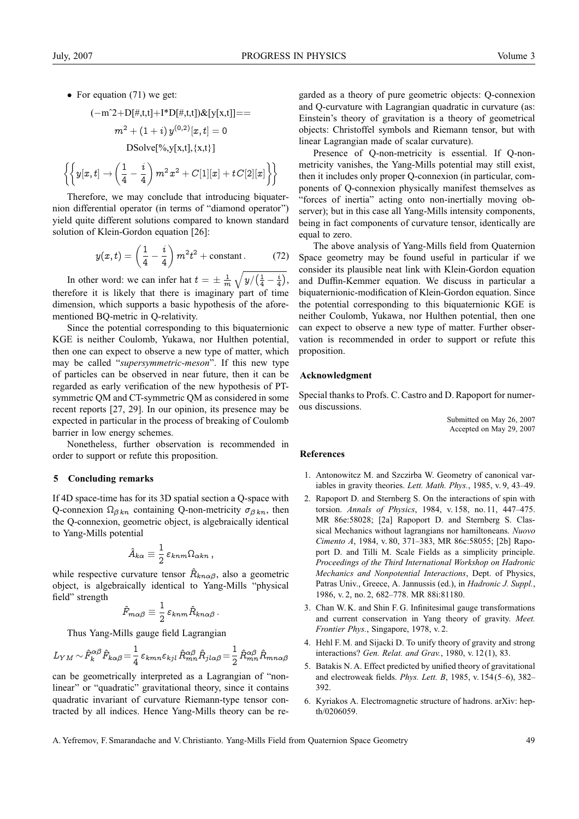$\bigcap$ 

• For equation (71) we get:

$$
(-\text{m}^2 + \text{D}[\#,t, t] + \text{I}^* \text{D}[\#,t, t]) \& [\text{y}[x, t]] ==
$$
\n
$$
m^2 + (1 + i) y^{(0,2)}[x, t] = 0
$$
\n
$$
\text{DSolve}[\%, y[\text{x}, t], \{\text{x}, t\}]
$$
\n
$$
\left\{ \left\{ y[x, t] \rightarrow \left( \frac{1}{4} - \frac{i}{4} \right) m^2 x^2 + C[1][x] + tC[2][x] \right\}
$$

Therefore, we may conclude that introducing biquaternion differential operator (in terms of "diamond operator") yield quite different solutions compared to known standard solution of Klein-Gordon equation [26]:

$$
y(x,t) = \left(\frac{1}{4} - \frac{i}{4}\right)m^2t^2 + \text{constant}.
$$
 (72)

In other word: we can infer hat  $t = \pm \frac{1}{m}$  $\sqrt{y/ \big(\frac{1}{4} - \frac{i}{4}\big)},$ therefore it is likely that there is imaginary part of time dimension, which supports a basic hypothesis of the aforementioned BQ-metric in Q-relativity.

Since the potential corresponding to this biquaternionic KGE is neither Coulomb, Yukawa, nor Hulthen potential, then one can expect to observe a new type of matter, which may be called "*supersymmetric-meson*". If this new type of particles can be observed in near future, then it can be regarded as early verification of the new hypothesis of PTsymmetric QM and CT-symmetric QM as considered in some recent reports [27, 29]. In our opinion, its presence may be expected in particular in the process of breaking of Coulomb barrier in low energy schemes.

Nonetheless, further observation is recommended in order to support or refute this proposition.

#### **5 Concluding remarks**

If 4D space-time has for its 3D spatial section a Q-space with Q-connexion  $\Omega_{\beta k n}$  containing Q-non-metricity  $\sigma_{\beta k n}$ , then the Q-connexion, geometric object, is algebraically identical to Yang-Mills potential

$$
\hat{A}_{k\alpha} \equiv \frac{1}{2}\,\varepsilon_{knm}\Omega_{\alpha k n}\,,
$$

while respective curvature tensor  $\ddot{R}_{kn\alpha\beta}$ , also a geometric object, is algebraically identical to Yang-Mills "physical field" strength

$$
\hat{F}_{m\alpha\beta} \equiv \frac{1}{2} \,\varepsilon_{knm} \hat{R}_{kn\alpha\beta} \,.
$$

Thus Yang-Mills gauge field Lagrangian

$$
L_{YM}\sim\!\hat{F}_{k}^{\alpha\beta}\hat{F}_{k\alpha\beta}\!=\!\frac{1}{4}\,\varepsilon_{kmn}\varepsilon_{kjl}\,\hat{R}_{mn}^{\alpha\beta}\hat{R}_{jl\alpha\beta}\!=\!\frac{1}{2}\,\hat{R}_{mn}^{\alpha\beta}\hat{R}_{mn\alpha\beta}
$$

can be geometrically interpreted as a Lagrangian of "nonlinear" or "quadratic" gravitational theory, since it contains quadratic invariant of curvature Riemann-type tensor contracted by all indices. Hence Yang-Mills theory can be regarded as a theory of pure geometric objects: Q-connexion and Q-curvature with Lagrangian quadratic in curvature (as: Einstein's theory of gravitation is a theory of geometrical objects: Christoffel symbols and Riemann tensor, but with linear Lagrangian made of scalar curvature).

Presence of Q-non-metricity is essential. If Q-nonmetricity vanishes, the Yang-Mills potential may still exist, then it includes only proper Q-connexion (in particular, components of Q-connexion physically manifest themselves as "forces of inertia" acting onto non-inertially moving observer); but in this case all Yang-Mills intensity components, being in fact components of curvature tensor, identically are equal to zero.

The above analysis of Yang-Mills field from Quaternion Space geometry may be found useful in particular if we consider its plausible neat link with Klein-Gordon equation and Duffin-Kemmer equation. We discuss in particular a biquaternionic-modification of Klein-Gordon equation. Since the potential corresponding to this biquaternionic KGE is neither Coulomb, Yukawa, nor Hulthen potential, then one can expect to observe a new type of matter. Further observation is recommended in order to support or refute this proposition.

#### **Acknowledgment**

Special thanks to Profs. C. Castro and D. Rapoport for numerous discussions.

> Submitted on May 26, 2007 Accepted on May 29, 2007

## **References**

- 1. Antonowitcz M. and Szczirba W. Geometry of canonical variables in gravity theories. *Lett. Math. Phys.*, 1985, v. 9, 43–49.
- 2. Rapoport D. and Sternberg S. On the interactions of spin with torsion. *Annals of Physics*, 1984, v. 158, no. 11, 447–475. MR 86e:58028; [2a] Rapoport D. and Sternberg S. Classical Mechanics without lagrangians nor hamiltoneans. *Nuovo Cimento A*, 1984, v. 80, 371–383, MR 86c:58055; [2b] Rapoport D. and Tilli M. Scale Fields as a simplicity principle. *Proceedings of the Third International Workshop on Hadronic Mechanics and Nonpotential Interactions*, Dept. of Physics, Patras Univ., Greece, A. Jannussis (ed.), in *Hadronic J. Suppl.*, 1986, v. 2, no. 2, 682–778. MR 88i:81180.
- 3. Chan W. K. and Shin F. G. Infinitesimal gauge transformations and current conservation in Yang theory of gravity. *Meet. Frontier Phys.*, Singapore, 1978, v. 2.
- 4. Hehl F. M. and Sijacki D. To unify theory of gravity and strong interactions? *Gen. Relat. and Grav.*, 1980, v. 12(1), 83.
- 5. Batakis N. A. Effect predicted by unified theory of gravitational and electroweak fields. *Phys. Lett. B*, 1985, v. 154(5–6), 382– 392.
- 6. Kyriakos A. Electromagnetic structure of hadrons. arXiv: hepth/0206059.